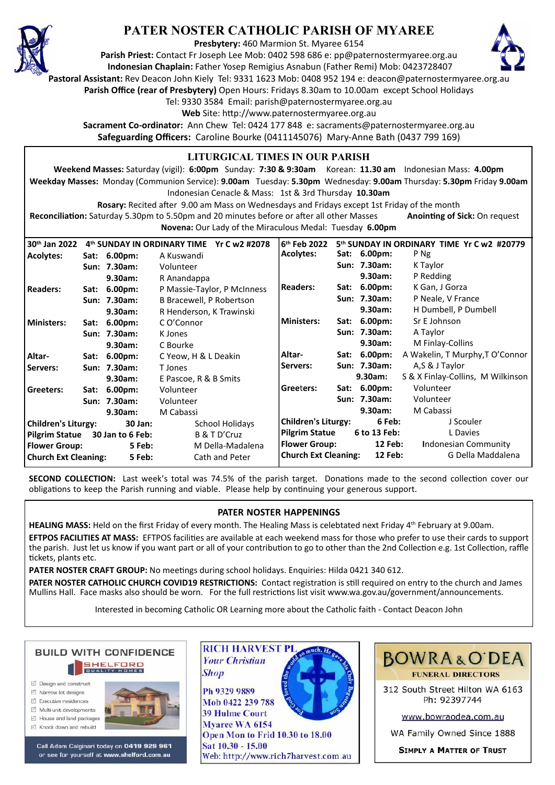

## **PATER NOSTER CATHOLIC PARISH OF MYAREE**

**Presbytery:** 460 Marmion St. Myaree 6154

**Parish Priest:** Contact Fr Joseph Lee Mob: 0402 598 686 e: pp@paternostermyaree.org.au **Indonesian Chaplain:** Father Yosep Remigius Asnabun (Father Remi) Mob: 0423728407



**Pastoral Assistant:** Rev Deacon John Kiely Tel: 9331 1623 Mob: 0408 952 194 e: deacon@paternostermyaree.org.au

**Parish Office (rear of Presbytery)** Open Hours: Fridays 8.30am to 10.00am except School Holidays

Tel: 9330 3584 Email: parish@paternostermyaree.org.au

Web Site: http://www.paternostermyaree.org.au

**Sacrament Co-ordinator:** Ann Chew Tel: 0424 177 848 e: sacraments@paternostermyaree.org.au **Safeguarding Officers:** Caroline Bourke (0411145076) Mary-Anne Bath (0437 799 169)

#### **LITURGICAL TIMES IN OUR PARISH**

**Weekend Masses:** Saturday (vigil): **6:00pm** Sunday: **7:30 & 9:30am** Korean: **11.30 am** Indonesian Mass: **4.00pm Weekday Masses:** Monday (Communion Service): **9.00am** Tuesday: **5.30pm** Wednesday: **9.00am** Thursday: **5.30pm** Friday **9.00am** Indonesian Cenacle & Mass: 1st & 3rd Thursday **10.30am**

**Rosary:** Recited a�er 9.00 am Mass on Wednesdays and Fridays except 1st Friday of the month Reconciliation: Saturday 5.30pm to 5.50pm and 20 minutes before or after all other Masses **Anointing of Sick:** On request **Novena:** Our Lady of the Miraculous Medal: Tuesday **6.00pm**

**30th Jan 2022 4th SUNDAY IN ORDINARY TIME Yr C w2 #2078 Acolytes: Sat: 6.00pm:** A Kuswandi **Sun: 7.30am:** Volunteer **9.30am:** R Anandappa **Readers: Sat: 6.00pm:** P Massie-Taylor, P McInness **Sun: 7.30am:** B Bracewell, P Robertson **9.30am:** R Henderson, K Trawinski **Ministers: Sat: 6.00pm:** C O'Connor **Sun: 7.30am:** K Jones **9.30am:** C Bourke **Altar- Sat: 6.00pm:** C Yeow, H & L Deakin **Servers: Sun: 7.30am:** T Jones **9.30am:** E Pascoe, R & B Smits **Greeters: Sat: 6.00pm:** Volunteer **Sun: 7.30am:** Volunteer **9.30am:** M Cabassi **Children's Liturgy: 30 Jan:** School Holidays **Pilgrim Statue 30 Jan to 6 Feb:** B & T D'Cruz **Flower Group:** 5 Feb: M Della-Madalena<br> **Church Ext Cleaning:** 5 Feb: Cath and Peter **Church Ext Cleaning: 5 Feb:** Cath and Peter 6<sup>th</sup> Feb 2022<br>Acolvtes: **5<sup>th</sup> SUNDAY IN ORDINARY TIME Yr C w2 #20779**<br>Sat: 6.00pm: P Ng **Sat: 6.00pm: Sun: 7.30am:** K Taylor **9.30am:** P Redding **Readers: Sat: 6.00pm:** K Gan, J Gorza **Sun: 7.30am:** P Neale, V France **9.30am:** H Dumbell, P Dumbell **Ministers: Sat: 6.00pm:** Sr E Johnson **Sun: 7.30am:** A Taylor **9.30am:** M Finlay-Collins **Altar- Sat: 6.00pm:** A Wakelin, T Murphy,T O'Connor **Servers: Sun: 7.30am:** A,S & J Taylor **9.30am:** S & X Finlay-Collins, M Wilkinson **Gree**t**ers: Sat: 6.00pm:** Volunteer **Sun: 7.30am:** Volunteer **9.30am:** M Cabassi **Children's Liturgy: 6 Feb:** J Scouler **Pilgrim Statue 6 to 13 Feb:** L Davies **Flower Group: 12 Feb: I**ndonesian Community **Church Ext Cleaning: 12 Feb:** G Della Maddalena

**SECOND COLLECTION:** Last week's total was 74.5% of the parish target. Donations made to the second collection cover our obligations to keep the Parish running and viable. Please help by continuing your generous support.

#### **PATER NOSTER HAPPENINGS**

**HEALING MASS:** Held on the first Friday of every month. The Healing Mass is celebtated next Friday 4<sup>th</sup> February at 9.00am. **EFTPOS FACILITIES AT MASS:** EFTPOS facili�es are available at each weekend mass for those who prefer to use their cards to support the parish. Just let us know if you want part or all of your contribution to go to other than the 2nd Collection e.g. 1st Collection, raffle �ckets, plants etc.

**PATER NOSTER CRAFT GROUP:** No meetings during school holidays. Enquiries: Hilda 0421 340 612.

PATER NOSTER CATHOLIC CHURCH COVID19 RESTRICTIONS: Contact registration is still required on entry to the church and James Mullins Hall. Face masks also should be worn. For the full restrictions list visit www.wa.gov.au/government/announcements.

Interested in becoming Catholic OR Learning more about the Catholic faith - Contact Deacon John



- ☑ Design and construct
- $\triangledown$  Narrow lot designe
- $\triangledown$  Executive residences  $\overrightarrow{2}$  Multi-unit developments
- M House and land packages
- M Knock down and rebuild



Call Adam Calginari today on 0419 929 961 or see for yourself at www.shelford.com.au



Ph 9329 9889 Mob 0422 239 788 **39 Hulme Court** Myaree WA 6154 Open Mon to Frid 10.30 to 18.00 Sat 10.30 - 15.00 Web: http://www.rich7harvest.com.au



312 South Street Hilton WA 6163 Ph: 92397744

www.bowraodea.com.au

WA Family Owned Since 1888

**SIMPLY A MATTER OF TRUST**